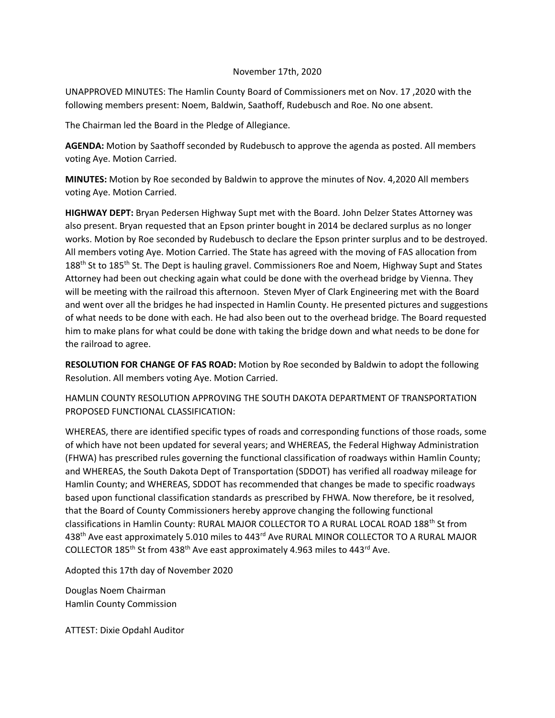## November 17th, 2020

UNAPPROVED MINUTES: The Hamlin County Board of Commissioners met on Nov. 17 ,2020 with the following members present: Noem, Baldwin, Saathoff, Rudebusch and Roe. No one absent.

The Chairman led the Board in the Pledge of Allegiance.

**AGENDA:** Motion by Saathoff seconded by Rudebusch to approve the agenda as posted. All members voting Aye. Motion Carried.

**MINUTES:** Motion by Roe seconded by Baldwin to approve the minutes of Nov. 4,2020 All members voting Aye. Motion Carried.

**HIGHWAY DEPT:** Bryan Pedersen Highway Supt met with the Board. John Delzer States Attorney was also present. Bryan requested that an Epson printer bought in 2014 be declared surplus as no longer works. Motion by Roe seconded by Rudebusch to declare the Epson printer surplus and to be destroyed. All members voting Aye. Motion Carried. The State has agreed with the moving of FAS allocation from  $188<sup>th</sup>$  St to  $185<sup>th</sup>$  St. The Dept is hauling gravel. Commissioners Roe and Noem, Highway Supt and States Attorney had been out checking again what could be done with the overhead bridge by Vienna. They will be meeting with the railroad this afternoon. Steven Myer of Clark Engineering met with the Board and went over all the bridges he had inspected in Hamlin County. He presented pictures and suggestions of what needs to be done with each. He had also been out to the overhead bridge. The Board requested him to make plans for what could be done with taking the bridge down and what needs to be done for the railroad to agree.

**RESOLUTION FOR CHANGE OF FAS ROAD:** Motion by Roe seconded by Baldwin to adopt the following Resolution. All members voting Aye. Motion Carried.

HAMLIN COUNTY RESOLUTION APPROVING THE SOUTH DAKOTA DEPARTMENT OF TRANSPORTATION PROPOSED FUNCTIONAL CLASSIFICATION:

WHEREAS, there are identified specific types of roads and corresponding functions of those roads, some of which have not been updated for several years; and WHEREAS, the Federal Highway Administration (FHWA) has prescribed rules governing the functional classification of roadways within Hamlin County; and WHEREAS, the South Dakota Dept of Transportation (SDDOT) has verified all roadway mileage for Hamlin County; and WHEREAS, SDDOT has recommended that changes be made to specific roadways based upon functional classification standards as prescribed by FHWA. Now therefore, be it resolved, that the Board of County Commissioners hereby approve changing the following functional classifications in Hamlin County: RURAL MAJOR COLLECTOR TO A RURAL LOCAL ROAD 188th St from 438<sup>th</sup> Ave east approximately 5.010 miles to 443<sup>rd</sup> Ave RURAL MINOR COLLECTOR TO A RURAL MAJOR COLLECTOR 185th St from 438th Ave east approximately 4.963 miles to 443rd Ave.

Adopted this 17th day of November 2020

Douglas Noem Chairman Hamlin County Commission

ATTEST: Dixie Opdahl Auditor